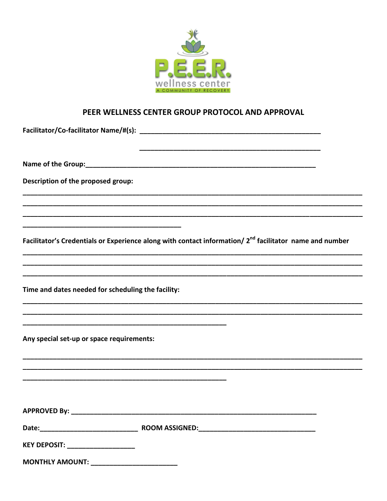

## PEER WELLNESS CENTER GROUP PROTOCOL AND APPROVAL

| Description of the proposed group:                 |                                                                                                                     |
|----------------------------------------------------|---------------------------------------------------------------------------------------------------------------------|
|                                                    |                                                                                                                     |
|                                                    | Facilitator's Credentials or Experience along with contact information/ 2 <sup>nd</sup> facilitator name and number |
|                                                    |                                                                                                                     |
| Time and dates needed for scheduling the facility: |                                                                                                                     |
|                                                    |                                                                                                                     |
| Any special set-up or space requirements:          |                                                                                                                     |
|                                                    |                                                                                                                     |
|                                                    |                                                                                                                     |
|                                                    |                                                                                                                     |
|                                                    |                                                                                                                     |
| KEY DEPOSIT: ___________________                   |                                                                                                                     |
| <b>MONTHLY AMOUNT:</b>                             |                                                                                                                     |